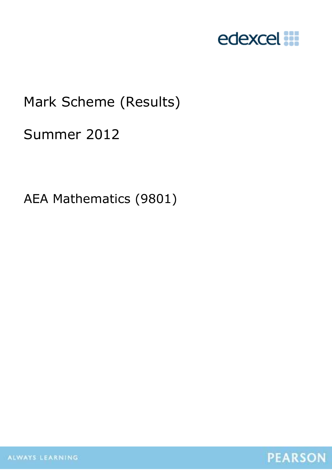

# Mark Scheme (Results)

## Summer 2012

AEA Mathematics (9801)

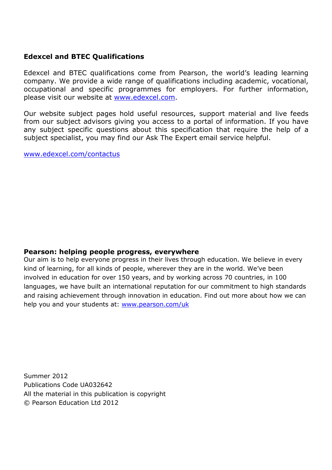#### **Edexcel and BTEC Qualifications**

Edexcel and BTEC qualifications come from Pearson, the world's leading learning company. We provide a wide range of qualifications including academic, vocational, occupational and specific programmes for employers. For further information, please visit our website at www.edexcel.com.

Our website subject pages hold useful resources, support material and live feeds from our subject advisors giving you access to a portal of information. If you have any subject specific questions about this specification that require the help of a subject specialist, you may find our Ask The Expert email service helpful.

www.edexcel.com/contactus

#### **Pearson: helping people progress, everywhere**

Our aim is to help everyone progress in their lives through education. We believe in every kind of learning, for all kinds of people, wherever they are in the world. We've been involved in education for over 150 years, and by working across 70 countries, in 100 languages, we have built an international reputation for our commitment to high standards and raising achievement through innovation in education. Find out more about how we can help you and your students at: www.pearson.com/uk

Summer 2012 Publications Code UA032642 All the material in this publication is copyright © Pearson Education Ltd 2012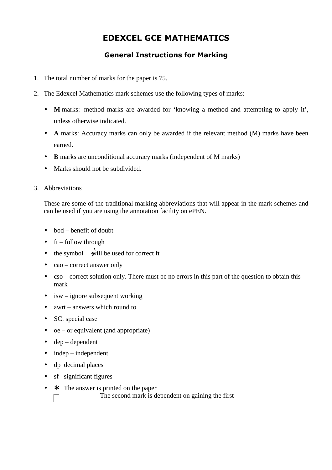### **EDEXCEL GCE MATHEMATICS**

### **General Instructions for Marking**

- 1. The total number of marks for the paper is 75.
- 2. The Edexcel Mathematics mark schemes use the following types of marks:
	- **M** marks: method marks are awarded for 'knowing a method and attempting to apply it', unless otherwise indicated.
	- **A** marks: Accuracy marks can only be awarded if the relevant method (M) marks have been earned.
	- **B** marks are unconditional accuracy marks (independent of M marks)
	- Marks should not be subdivided.
- 3. Abbreviations

These are some of the traditional marking abbreviations that will appear in the mark schemes and can be used if you are using the annotation facility on ePEN.

- $\bullet$  bod benefit of doubt
- $\bullet$  ft follow through
- the symbol  $\hat{\text{while}}$  the used for correct ft
- cao correct answer only
- cso correct solution only. There must be no errors in this part of the question to obtain this mark
- $\bullet$  isw ignore subsequent working
- awrt answers which round to
- SC: special case
- oe or equivalent (and appropriate)
- $\bullet$  dep dependent
- $\bullet$  independent
- dp decimal places

Г

- sf significant figures
- $\star$  The answer is printed on the paper

The second mark is dependent on gaining the first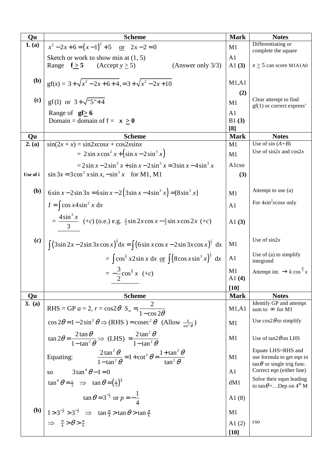| Qu         | <b>Scheme</b>                                                                                                                                                              | <b>Mark</b>                    | <b>Notes</b>                                                                          |
|------------|----------------------------------------------------------------------------------------------------------------------------------------------------------------------------|--------------------------------|---------------------------------------------------------------------------------------|
| 1. (a)     | $x^2-2x+6=(x-1)^2+5$ or $2x-2=0$                                                                                                                                           | M1                             | Differentiating or                                                                    |
|            | Sketch or work to show min at $(1, 5)$<br>(Answer only $3/3$ )<br>Range $f > 5$ (Accept $y > 5$ )                                                                          | A1<br>A1 $(3)$                 | complete the square<br>$x \ge 5$ can score M1A1A0                                     |
| <b>(b)</b> | $gf(x) = 3 + \sqrt{x^2 - 2x + 6 + 4} = 3 + \sqrt{x^2 - 2x + 10}$                                                                                                           | M1, A1<br>(2)                  |                                                                                       |
| (c)        | gf(1) or $3+\sqrt{5}+4$                                                                                                                                                    | M1                             | Clear attempt to find<br>$gf(1)$ or correct express'                                  |
|            | Range of $gf \ge 6$<br>Domain = domain of $f = x \ge 0$                                                                                                                    | A <sub>1</sub><br>B1(3)<br>[8] |                                                                                       |
| Qu         | <b>Scheme</b>                                                                                                                                                              | <b>Mark</b>                    | <b>Notes</b>                                                                          |
| 2. (a)     | $\sin(2x + x) = \sin 2x \cos x + \cos 2x \sin x$<br>$= 2\sin x \cos^2 x + (\sin x - 2\sin^3 x)$                                                                            | M1<br>M1                       | Use of $sin(A+B)$<br>Use of $\sin 2x$ and $\cos 2x$                                   |
| Use of i   | $= 2\sin x - 2\sin^3 x + \sin x - 2\sin^3 x = 3\sin x - 4\sin^3 x$<br>$\sin 3x = 3\cos^2 x \sin x, -\sin^3 x$ for M1, M1                                                   | Alcso<br>(3)                   |                                                                                       |
| <b>(b)</b> | $6\sin x - 2\sin 3x = 6\sin x - 2(3\sin x - 4\sin^3 x) = [8\sin^3 x]$                                                                                                      | M1                             | Attempt to use (a)                                                                    |
|            | $I = \int \cos x 4 \sin^2 x dx$                                                                                                                                            | A <sub>1</sub>                 | For $4\sin^2 x \cos x$ only                                                           |
|            | $= \frac{4\sin^3 x}{3}$ (+c) (o.e.) e.g. $\frac{2}{3}\sin 2x \cos x - \frac{4}{3}\sin x \cos 2x$ (+c)                                                                      | A1 $(3)$                       |                                                                                       |
| (c)        | $\int (3\sin 2x - 2\sin 3x \cos x)^{\frac{1}{3}} dx = \int (6\sin x \cos x - 2\sin 3x \cos x)^{\frac{1}{3}} dx$                                                            | M <sub>1</sub>                 | Use of $\sin 2x$                                                                      |
|            | = $\int \cos^{\frac{1}{3}} x 2 \sin x \, dx \, \text{or} \, \int (8 \cos x \sin^3 x)^{\frac{1}{3}} \, dx$                                                                  | A1                             | Use of $(a)$ to simplify<br>integrand                                                 |
|            | $=-\frac{3}{2}\cos^{\frac{4}{3}} x (+c)$                                                                                                                                   | M1<br>A1 $(4)$                 | Attempt int. $\rightarrow k \cos^{\frac{4}{3}} x$                                     |
|            |                                                                                                                                                                            | $[10]$                         |                                                                                       |
| Qu         | <b>Scheme</b>                                                                                                                                                              | <b>Mark</b>                    | <b>Notes</b>                                                                          |
| 3. (a)     | RHS = GP $a = 2$ , $r = \cos 2\theta$ $S_{\infty} = \frac{2}{1 - \cos 2\theta}$                                                                                            | M1, A1                         | Identify GP and attempt<br>sum to $\infty$ for M1                                     |
|            | $\cos 2\theta = 1 - 2\sin^2 \theta \Rightarrow (RHS) = \csc^2 \theta$ (Allow $\frac{k}{\sin^2 \theta}$ )                                                                   | M1                             | Use $\cos 2\theta$ to simplify                                                        |
|            | $\tan 2\theta = \frac{2 \tan \theta}{1 - \tan^2 \theta} \Rightarrow$ (LHS) $= \frac{2 \tan^2 \theta}{1 - \tan^2 \theta}$                                                   | M1                             | Use of $tan2\theta$ on LHS                                                            |
|            | $\frac{2\tan^2\theta}{1-\tan^2\theta} = 1+\cot^2\theta = \frac{1+\tan^2\theta}{\tan^2\theta}$<br>Equating:                                                                 | M1                             | Equate LHS=RHS and<br>use formula to get eqn in<br>$\tan \theta$ or single trig func. |
|            | $3\tan^4 \theta - 1 = 0$<br><b>SO</b>                                                                                                                                      | A <sub>1</sub>                 | Correct eqn (either line)                                                             |
|            | $\tan^4 \theta = \frac{1}{3} \implies \tan \theta = \left(\frac{1}{3}\right)^{\frac{1}{4}}$                                                                                | dM1                            | Solve their equn leading<br>to $\tan \theta =$ Dep on $4^{\text{th}}$ M               |
|            | $\tan \theta = 3^{-\frac{1}{4}}$ or $p = -\frac{1}{4}$                                                                                                                     | A $1(8)$                       |                                                                                       |
| <b>(b)</b> | 1 > 3 <sup>-1</sup> > 3 <sup>-2</sup> $\Rightarrow$ tan $\frac{\pi}{4}$ > tan $\theta$ > tan $\frac{\pi}{6}$<br>$\Rightarrow$ $\frac{\pi}{4}$ > $\theta$ > $\frac{\pi}{6}$ | M1                             |                                                                                       |
|            |                                                                                                                                                                            | A $1(2)$<br>$[10]$             | cso                                                                                   |
|            |                                                                                                                                                                            |                                |                                                                                       |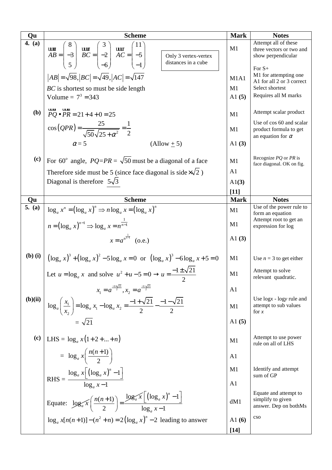| Qu                          | <b>Scheme</b>                                                                                                                                                                                                         |                                     | <b>Notes</b>                                                                                 |
|-----------------------------|-----------------------------------------------------------------------------------------------------------------------------------------------------------------------------------------------------------------------|-------------------------------------|----------------------------------------------------------------------------------------------|
| 4. $(a)$                    | utus $AB = \begin{pmatrix} 8 \\ -3 \\ 5 \end{pmatrix}$ utus $BC = \begin{pmatrix} 5 \\ -2 \\ -6 \end{pmatrix}$ atus $AC = \begin{pmatrix} 1 \\ -5 \\ -1 \end{pmatrix}$<br>Only 3 vertex-vertex<br>distances in a cube | M1                                  | Attempt all of these<br>three vectors or two and<br>show perpendicular                       |
|                             | $ AB  = \sqrt{98}$ , $ BC  = \sqrt{49}$ , $ AC  = \sqrt{147}$<br>BC is shortest so must be side length                                                                                                                | M <sub>1</sub> A <sub>1</sub><br>M1 | For $S+$<br>M1 for attempting one<br>A1 for all 2 or 3 correct<br>Select shortest            |
|                             | Volume = $7^3$ = 343                                                                                                                                                                                                  | A1 $(5)$                            | Requires all M marks                                                                         |
| (b)                         | $PQ \bullet PR = 21 + 4 + 0 = 25$                                                                                                                                                                                     | M1                                  | Attempt scalar product                                                                       |
|                             | $\cos(QPR) = \frac{25}{\sqrt{50}\sqrt{25 + \alpha^2}} = \frac{1}{2}$                                                                                                                                                  | M1                                  | Use of cos 60 and scalar<br>product formula to get<br>an equation for $\alpha$               |
|                             | $\alpha$ = 5<br>$\left(\text{Allow} \pm 5\right)$                                                                                                                                                                     | A1 $(3)$                            |                                                                                              |
| (c)                         | For 60 <sup>°</sup> angle, $PQ=PR = \sqrt{50}$ must be a diagonal of a face                                                                                                                                           | M1<br>A1                            | Recognize $PQ$ or $PR$ is<br>face diagonal. OK on fig.                                       |
|                             | Therefore side must be 5 (since face diagonal is side $\times\sqrt{2}$ )<br>Diagonal is therefore $5\sqrt{3}$                                                                                                         | $\mathrm{Al}(3)$                    |                                                                                              |
|                             |                                                                                                                                                                                                                       | $[11]$                              |                                                                                              |
| Qu                          | <b>Scheme</b>                                                                                                                                                                                                         | <b>Mark</b>                         | <b>Notes</b>                                                                                 |
| 5. (a)                      | $\log_a x^n = (\log_a x)^n \Rightarrow n \log_a x = (\log_a x)^n$<br>$n = (\log_a x)^{n-1} \Rightarrow \log_a x = n^{\frac{1}{n-1}}$                                                                                  | M1<br>M1                            | Use of the power rule to<br>form an equation<br>Attempt root to get an<br>expression for log |
|                             | $x = a^{n^{\frac{1}{n-1}}}$ (o.e.)                                                                                                                                                                                    | A1 $(3)$                            |                                                                                              |
| $(b)$ $(i)$                 | $(\log_a x)^3 + (\log_a x)^2 - 5\log_a x = 0$ or $(\log_a x)^3 - 6\log_a x + 5 = 0$                                                                                                                                   | M1                                  | Use $n = 3$ to get either                                                                    |
|                             | Let $u = \log_a x$ and solve $u^2 + u - 5 = 0 \rightarrow u = \frac{-1 \pm \sqrt{21}}{2}$                                                                                                                             | M1                                  | Attempt to solve<br>relevant quadratic.                                                      |
|                             | $x_1 = a^{\frac{-1+\sqrt{21}}{2}}, x_2 = a^{\frac{-1-\sqrt{21}}{2}}$                                                                                                                                                  | A <sub>1</sub>                      |                                                                                              |
| (b)(ii)                     | $\log_a\left(\frac{x_1}{x_2}\right) = \log_a x_1 - \log_a x_2 = \frac{-1 + \sqrt{21}}{2} - \frac{-1 - \sqrt{21}}{2}$                                                                                                  | M1                                  | Use $\log x$ - $\log y$ rule and<br>attempt to sub values<br>for $x$                         |
|                             | $=\sqrt{21}$                                                                                                                                                                                                          | A1 $(5)$                            |                                                                                              |
| $\left( \mathbf{c} \right)$ | LHS = $\log_a x(1+2++n)$                                                                                                                                                                                              | M1                                  | Attempt to use power<br>rule on all of LHS                                                   |
|                             | $= \log_a x \left( \frac{n(n+1)}{2} \right)$                                                                                                                                                                          | A <sub>1</sub>                      |                                                                                              |
|                             | $RHS = \frac{\log_a x \left[ \left( \log_a x \right)^n - 1 \right]}{\log_a x - 1}$                                                                                                                                    | M1                                  | Identify and attempt<br>sum of GP                                                            |
|                             |                                                                                                                                                                                                                       | A <sub>1</sub>                      |                                                                                              |
|                             | Equate: $\log_a x \left( \frac{n(n+1)}{2} \right) = \frac{\log_a x \left[ \left( \log_a x \right)^n - 1 \right]}{\log_a x - 1}$                                                                                       | dM1                                 | Equate and attempt to<br>simplify to given<br>answer. Dep on bothMs                          |
|                             | $\log_a x[n(n+1)] - (n^2 + n) = 2(\log_a x)^n - 2$ leading to answer                                                                                                                                                  | A1 $(6)$                            | $\cos$                                                                                       |
|                             |                                                                                                                                                                                                                       | $[14]$                              |                                                                                              |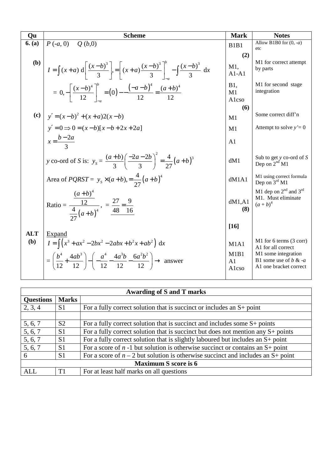| Qu                | <b>Scheme</b>                                                                                                                                                                                                                          | <b>Mark</b>                             | <b>Notes</b>                                                                                                               |
|-------------------|----------------------------------------------------------------------------------------------------------------------------------------------------------------------------------------------------------------------------------------|-----------------------------------------|----------------------------------------------------------------------------------------------------------------------------|
| 6. (a)            | $P(-a, 0)$<br>Q(b,0)                                                                                                                                                                                                                   | <b>B1B1</b>                             | Allow B1B0 for $(0, -a)$<br>etc                                                                                            |
|                   |                                                                                                                                                                                                                                        | (2)                                     |                                                                                                                            |
| (b)               | $I = \int (x+a) d \left[ \frac{(x-b)^3}{3} \right] = \left[ (x+a) \frac{(x-b)^3}{3} \right]^b - \int \frac{(x-b)^3}{3} dx$                                                                                                             | M1,<br>$A1-A1$                          | M1 for correct attempt<br>by parts                                                                                         |
|                   | $= 0, -\left[\frac{(x-b)^4}{12}\right]^b = (0) - \frac{(-a-b)^4}{12} = \frac{(a+b)^4}{12}$                                                                                                                                             | <b>B1</b> ,<br>M1<br>Alcso              | M1 for second stage<br>integration                                                                                         |
|                   |                                                                                                                                                                                                                                        | (6)                                     |                                                                                                                            |
|                   | (c) $y' = (x-b)^2 + (x+a)2(x-b)$                                                                                                                                                                                                       | M1                                      | Some correct diff'n                                                                                                        |
|                   | $y'=0 \Rightarrow 0 = (x-b)[x-b+2x+2a]$                                                                                                                                                                                                | M1                                      | Attempt to solve $y'=0$                                                                                                    |
|                   | $x = \frac{b-2a}{2}$                                                                                                                                                                                                                   | A1                                      |                                                                                                                            |
|                   | y co-ord of S is: $y_s = \frac{(a+b)}{3} \left( \frac{-2a-2b}{3} \right)^2 = \frac{4}{27} (a+b)^3$                                                                                                                                     | dM1                                     | Sub to get $y$ co-ord of $S$<br>Dep on $2nd$ M1                                                                            |
|                   | Area of <i>PQRST</i> = $y_s \times (a+b) = \frac{4}{27}(a+b)^4$                                                                                                                                                                        | dM1A1                                   | M1 using correct formula<br>Dep on 3rd M1                                                                                  |
|                   | $(a+b)^4$<br>Ratio = $\frac{12}{\frac{4}{27}(a+b)^4}$ , = $\frac{27}{48} = \frac{9}{16}$                                                                                                                                               | dM1, A1<br>(8)                          | M1 dep on $2nd$ and $3rd$<br>M1. Must eliminate<br>$(a + b)^4$                                                             |
|                   |                                                                                                                                                                                                                                        | $[16]$                                  |                                                                                                                            |
| <b>ALT</b><br>(b) | Expand<br>$I = \left[ \left( x^3 + ax^2 - 2bx^2 - 2abx + b^2x + ab^2 \right) dx \right]$<br>$=\left(\frac{b^4}{12}+\frac{4ab^3}{12}\right)-\left(-\frac{a^4}{12}-\frac{4a^3b}{12}-\frac{6a^2b^2}{12}\right)\rightarrow \text{ answer}$ | M1A1<br>M1B1<br>A <sub>1</sub><br>Alcso | M1 for 6 terms (3 corr)<br>A1 for all correct<br>M1 some integration<br>B1 some use of $b \& -a$<br>A1 one bracket correct |
|                   |                                                                                                                                                                                                                                        |                                         |                                                                                                                            |

| Awarding of S and T marks   |                |                                                                                     |  |
|-----------------------------|----------------|-------------------------------------------------------------------------------------|--|
| <b>Questions</b>            | <b>Marks</b>   |                                                                                     |  |
| 2, 3, 4                     | S <sub>1</sub> | For a fully correct solution that is succinct or includes an $S+$ point             |  |
|                             |                |                                                                                     |  |
| 5, 6, 7                     | S <sub>2</sub> | For a fully correct solution that is succinct and includes some $S$ + points        |  |
| 5, 6, 7                     | S <sub>1</sub> | For a fully correct solution that is succinct but does not mention any $S$ + points |  |
| $\overline{5, 6, 7}$        | S <sub>1</sub> | For a fully correct solution that is slightly laboured but includes an $S+$ point   |  |
| 5, 6, 7                     | S <sub>1</sub> | For a score of $n-1$ but solution is otherwise succinct or contains an $S+$ point   |  |
| 6                           | S <sub>1</sub> | For a score of $n-2$ but solution is otherwise succinct and includes an S+ point    |  |
| <b>Maximum S score is 6</b> |                |                                                                                     |  |
| <b>ALL</b>                  | T1             | For at least half marks on all questions                                            |  |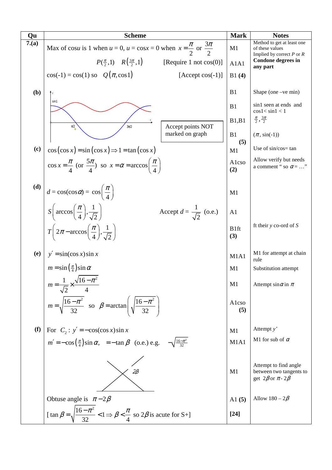| Qu   | <b>Scheme</b>                                                                                                  | <b>Mark</b>                   | <b>Notes</b>                                                                         |
|------|----------------------------------------------------------------------------------------------------------------|-------------------------------|--------------------------------------------------------------------------------------|
| 7(a) | Max of cosu is 1 when $u = 0$ , $u = \cos x = 0$ when $x = \frac{\pi}{2}$ or $\frac{3\pi}{2}$                  | M1                            | Method to get at least one<br>of these values<br>Implied by correct $P$ or $R$       |
|      | $P(\frac{\pi}{2},1)$ $R(\frac{3\pi}{2},1)$<br>[Require 1 not $cos(0)$ ]                                        | A1A1                          | <b>Condone degrees in</b><br>any part                                                |
|      | $cos(-1) = cos(1) so Q(\pi, cos 1)$<br>$[Accept cos(-1)]$                                                      | B1(4)                         |                                                                                      |
| (b)  |                                                                                                                | B1                            | Shape (one $-ve$ min)                                                                |
|      | sin1                                                                                                           | B1                            | sin1 seen at ends and<br>$\cos 1 < \sin 1 < 1$                                       |
|      | $\pi/2$<br>Accept points NOT<br>$3\pi/2$                                                                       | B1,B1                         | $\frac{\pi}{2}, \frac{3\pi}{2}$                                                      |
|      | marked on graph                                                                                                | B1<br>(5)                     | $(\pi, \sin(-1))$                                                                    |
| (c)  | $\cos(\cos x) = \sin(\cos x) \Rightarrow 1 = \tan(\cos x)$                                                     | M1                            | Use of sin/cos= tan                                                                  |
|      | $\cos x = \frac{\pi}{4}$ (or $\frac{5\pi}{4}$ ) so $x = \alpha = \arccos\left(\frac{\pi}{4}\right)$            | Alcso<br>(2)                  | Allow verify but needs<br>a comment " so $\alpha = $ "                               |
| (d)  | $d = \cos(\cos \alpha) = \cos\left(\frac{\pi}{4}\right)$                                                       | M1                            |                                                                                      |
|      | $S\left(\arccos\left(\frac{\pi}{4}\right),\frac{1}{\sqrt{2}}\right)$<br>Accept $d = \frac{1}{\sqrt{2}}$ (o.e.) | A <sub>1</sub>                |                                                                                      |
|      | $T\left(2\pi-\arccos\left(\frac{\pi}{4}\right),\frac{1}{\sqrt{2}}\right)$                                      | B1ft<br>(3)                   | ft their $y$ co-ord of $S$                                                           |
| (e)  | $y' = \sin(\cos x) \sin x$                                                                                     | M1A1                          | M1 for attempt at chain<br>rule                                                      |
|      | $m = \sin\left(\frac{\pi}{4}\right) \sin \alpha$                                                               | M1                            | Substitution attempt                                                                 |
|      | $m = \frac{1}{\sqrt{2}} \times \frac{\sqrt{16 - \pi^2}}{4}$                                                    | M1                            | Attempt sin $\alpha$ in $\pi$                                                        |
|      | $m = \sqrt{\frac{16 - \pi^2}{32}}$ so $\beta = \arctan\left(\sqrt{\frac{16 - \pi^2}{32}}\right)$               | Alcso<br>(5)                  |                                                                                      |
| (f)  | For $C_2$ : $y' = -\cos(\cos x)\sin x$                                                                         | M1                            | Attempt $y'$                                                                         |
|      | $m' = -\cos\left(\frac{\pi}{4}\right)\sin\alpha$ , $= -\tan\beta$ (o.e.) e.g. $-\sqrt{\frac{16-\pi^2}{32}}$    | M <sub>1</sub> A <sub>1</sub> | M1 for sub of $\alpha$                                                               |
|      | $2\beta$                                                                                                       | M1                            | Attempt to find angle<br>between two tangents to<br>get $2\beta$ or $\pi$ - $2\beta$ |
|      | Obtuse angle is $\pi-2\beta$                                                                                   | A1 $(5)$                      | Allow $180 - 2\beta$                                                                 |
|      | [tan $\beta = \sqrt{\frac{16 - \pi^2}{32}} < 1 \Rightarrow \beta < \frac{\pi}{4}$ so $2\beta$ is acute for S+] | $[24]$                        |                                                                                      |